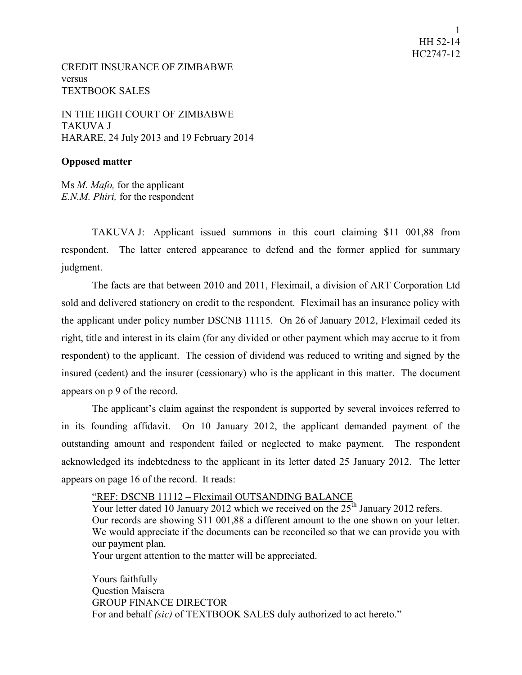CREDIT INSURANCE OF ZIMBABWE versus TEXTBOOK SALES

IN THE HIGH COURT OF ZIMBABWE TAKUVA J HARARE, 24 July 2013 and 19 February 2014

## **Opposed matter**

Ms *M. Mafo,* for the applicant *E.N.M. Phiri,* for the respondent

TAKUVA J: Applicant issued summons in this court claiming \$11 001,88 from respondent. The latter entered appearance to defend and the former applied for summary judgment.

The facts are that between 2010 and 2011, Fleximail, a division of ART Corporation Ltd sold and delivered stationery on credit to the respondent. Fleximail has an insurance policy with the applicant under policy number DSCNB 11115. On 26 of January 2012, Fleximail ceded its right, title and interest in its claim (for any divided or other payment which may accrue to it from respondent) to the applicant. The cession of dividend was reduced to writing and signed by the insured (cedent) and the insurer (cessionary) who is the applicant in this matter. The document appears on p 9 of the record.

The applicant's claim against the respondent is supported by several invoices referred to in its founding affidavit. On 10 January 2012, the applicant demanded payment of the outstanding amount and respondent failed or neglected to make payment. The respondent acknowledged its indebtedness to the applicant in its letter dated 25 January 2012. The letter appears on page 16 of the record. It reads:

"REF: DSCNB 11112 – Fleximail OUTSANDING BALANCE

Your letter dated 10 January 2012 which we received on the  $25<sup>th</sup>$  January 2012 refers. Our records are showing \$11 001,88 a different amount to the one shown on your letter. We would appreciate if the documents can be reconciled so that we can provide you with our payment plan. Your urgent attention to the matter will be appreciated.

Yours faithfully Question Maisera GROUP FINANCE DIRECTOR For and behalf *(sic)* of TEXTBOOK SALES duly authorized to act hereto."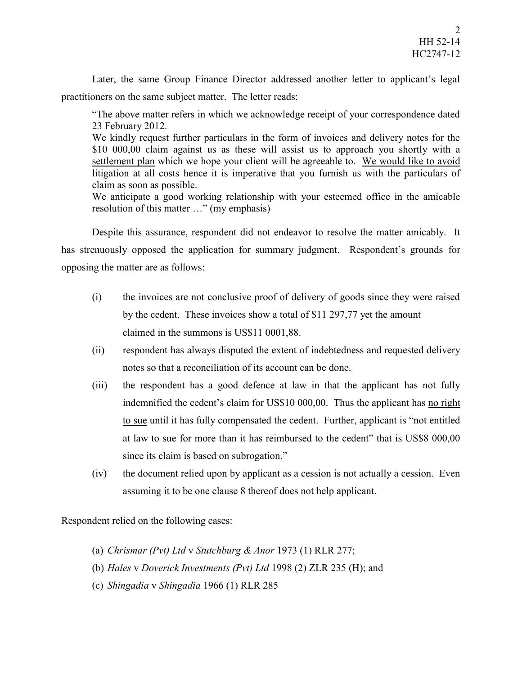Later, the same Group Finance Director addressed another letter to applicant's legal practitioners on the same subject matter. The letter reads:

"The above matter refers in which we acknowledge receipt of your correspondence dated 23 February 2012.

We kindly request further particulars in the form of invoices and delivery notes for the \$10 000,00 claim against us as these will assist us to approach you shortly with a settlement plan which we hope your client will be agreeable to. We would like to avoid litigation at all costs hence it is imperative that you furnish us with the particulars of claim as soon as possible.

We anticipate a good working relationship with your esteemed office in the amicable resolution of this matter …" (my emphasis)

Despite this assurance, respondent did not endeavor to resolve the matter amicably. It has strenuously opposed the application for summary judgment. Respondent's grounds for opposing the matter are as follows:

- (i) the invoices are not conclusive proof of delivery of goods since they were raised by the cedent. These invoices show a total of \$11 297,77 yet the amount claimed in the summons is US\$11 0001,88.
- (ii) respondent has always disputed the extent of indebtedness and requested delivery notes so that a reconciliation of its account can be done.
- (iii) the respondent has a good defence at law in that the applicant has not fully indemnified the cedent's claim for US\$10 000,00. Thus the applicant has no right to sue until it has fully compensated the cedent. Further, applicant is "not entitled at law to sue for more than it has reimbursed to the cedent" that is US\$8 000,00 since its claim is based on subrogation."
- (iv) the document relied upon by applicant as a cession is not actually a cession. Even assuming it to be one clause 8 thereof does not help applicant.

Respondent relied on the following cases:

- (a) *Chrismar (Pvt) Ltd* v *Stutchburg & Anor* 1973 (1) RLR 277;
- (b) *Hales* v *Doverick Investments (Pvt) Ltd* 1998 (2) ZLR 235 (H); and
- (c) *Shingadia* v *Shingadia* 1966 (1) RLR 285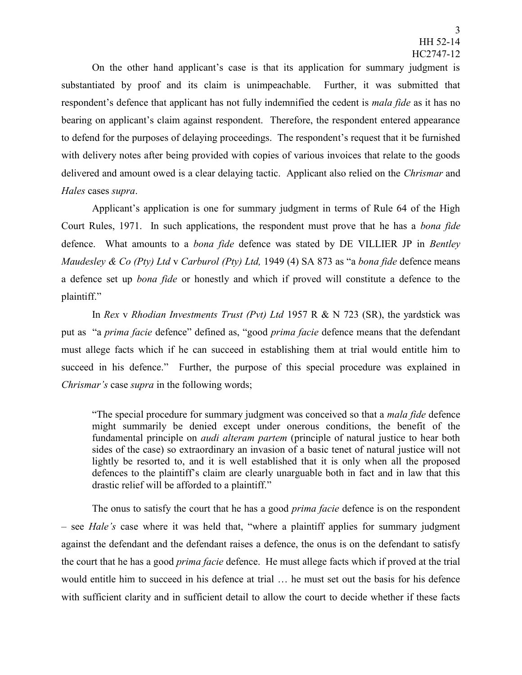On the other hand applicant's case is that its application for summary judgment is substantiated by proof and its claim is unimpeachable. Further, it was submitted that respondent's defence that applicant has not fully indemnified the cedent is *mala fide* as it has no bearing on applicant's claim against respondent. Therefore, the respondent entered appearance to defend for the purposes of delaying proceedings. The respondent's request that it be furnished with delivery notes after being provided with copies of various invoices that relate to the goods delivered and amount owed is a clear delaying tactic. Applicant also relied on the *Chrismar* and *Hales* cases *supra*.

Applicant's application is one for summary judgment in terms of Rule 64 of the High Court Rules, 1971. In such applications, the respondent must prove that he has a *bona fide* defence. What amounts to a *bona fide* defence was stated by DE VILLIER JP in *Bentley Maudesley & Co (Pty) Ltd* v *Carburol (Pty) Ltd,* 1949 (4) SA 873 as "a *bona fide* defence means a defence set up *bona fide* or honestly and which if proved will constitute a defence to the plaintiff."

In *Rex* v *Rhodian Investments Trust (Pvt) Ltd* 1957 R & N 723 (SR), the yardstick was put as "a *prima facie* defence" defined as, "good *prima facie* defence means that the defendant must allege facts which if he can succeed in establishing them at trial would entitle him to succeed in his defence." Further, the purpose of this special procedure was explained in *Chrismar's* case *supra* in the following words;

"The special procedure for summary judgment was conceived so that a *mala fide* defence might summarily be denied except under onerous conditions, the benefit of the fundamental principle on *audi alteram partem* (principle of natural justice to hear both sides of the case) so extraordinary an invasion of a basic tenet of natural justice will not lightly be resorted to, and it is well established that it is only when all the proposed defences to the plaintiff's claim are clearly unarguable both in fact and in law that this drastic relief will be afforded to a plaintiff."

The onus to satisfy the court that he has a good *prima facie* defence is on the respondent – see *Hale's* case where it was held that, "where a plaintiff applies for summary judgment against the defendant and the defendant raises a defence, the onus is on the defendant to satisfy the court that he has a good *prima facie* defence. He must allege facts which if proved at the trial would entitle him to succeed in his defence at trial … he must set out the basis for his defence with sufficient clarity and in sufficient detail to allow the court to decide whether if these facts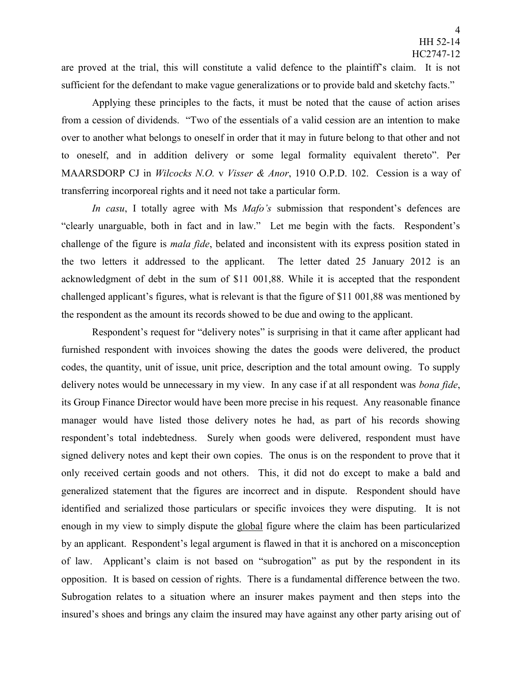are proved at the trial, this will constitute a valid defence to the plaintiff's claim. It is not sufficient for the defendant to make vague generalizations or to provide bald and sketchy facts."

Applying these principles to the facts, it must be noted that the cause of action arises from a cession of dividends. "Two of the essentials of a valid cession are an intention to make over to another what belongs to oneself in order that it may in future belong to that other and not to oneself, and in addition delivery or some legal formality equivalent thereto". Per MAARSDORP CJ in *Wilcocks N.O.* v *Visser & Anor*, 1910 O.P.D. 102. Cession is a way of transferring incorporeal rights and it need not take a particular form.

*In casu*, I totally agree with Ms *Mafo's* submission that respondent's defences are "clearly unarguable, both in fact and in law." Let me begin with the facts. Respondent's challenge of the figure is *mala fide*, belated and inconsistent with its express position stated in the two letters it addressed to the applicant. The letter dated 25 January 2012 is an acknowledgment of debt in the sum of \$11 001,88. While it is accepted that the respondent challenged applicant's figures, what is relevant is that the figure of \$11 001,88 was mentioned by the respondent as the amount its records showed to be due and owing to the applicant.

Respondent's request for "delivery notes" is surprising in that it came after applicant had furnished respondent with invoices showing the dates the goods were delivered, the product codes, the quantity, unit of issue, unit price, description and the total amount owing. To supply delivery notes would be unnecessary in my view. In any case if at all respondent was *bona fide*, its Group Finance Director would have been more precise in his request. Any reasonable finance manager would have listed those delivery notes he had, as part of his records showing respondent's total indebtedness. Surely when goods were delivered, respondent must have signed delivery notes and kept their own copies. The onus is on the respondent to prove that it only received certain goods and not others. This, it did not do except to make a bald and generalized statement that the figures are incorrect and in dispute. Respondent should have identified and serialized those particulars or specific invoices they were disputing. It is not enough in my view to simply dispute the global figure where the claim has been particularized by an applicant. Respondent's legal argument is flawed in that it is anchored on a misconception of law. Applicant's claim is not based on "subrogation" as put by the respondent in its opposition. It is based on cession of rights. There is a fundamental difference between the two. Subrogation relates to a situation where an insurer makes payment and then steps into the insured's shoes and brings any claim the insured may have against any other party arising out of